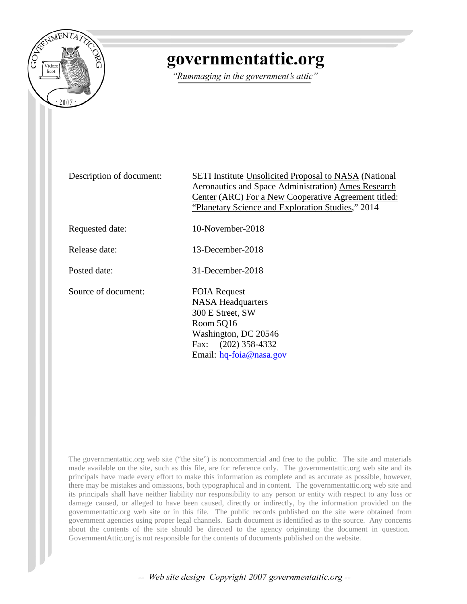

# governmentattic.org

"Rummaging in the government's attic"

Description of document: SETI Institute Unsolicited Proposal to NASA (National Aeronautics and Space Administration) Ames Research Center (ARC) For a New Cooperative Agreement titled: "Planetary Science and Exploration Studies," 2014

Requested date: 10-November-2018

Release date: 13-December-2018

Posted date: 31-December-2018

Source of document: FOIA Request

NASA Headquarters 300 E Street, SW Room 5Q16 Washi[ngton, DC 20546](mailto:hq-foia@nasa.gov?subject=FOIA%20Request) Fax: (202) 358-4332 Email: hq-foia@nasa.gov

The governmentattic.org web site ("the site") is noncommercial and free to the public. The site and materials made available on the site, such as this file, are for reference only. The governmentattic.org web site and its principals have made every effort to make this information as complete and as accurate as possible, however, there may be mistakes and omissions, both typographical and in content. The governmentattic.org web site and its principals shall have neither liability nor responsibility to any person or entity with respect to any loss or damage caused, or alleged to have been caused, directly or indirectly, by the information provided on the governmentattic.org web site or in this file. The public records published on the site were obtained from government agencies using proper legal channels. Each document is identified as to the source. Any concerns about the contents of the site should be directed to the agency originating the document in question. GovernmentAttic.org is not responsible for the contents of documents published on the website.

-- Web site design Copyright 2007 governmentattic.org --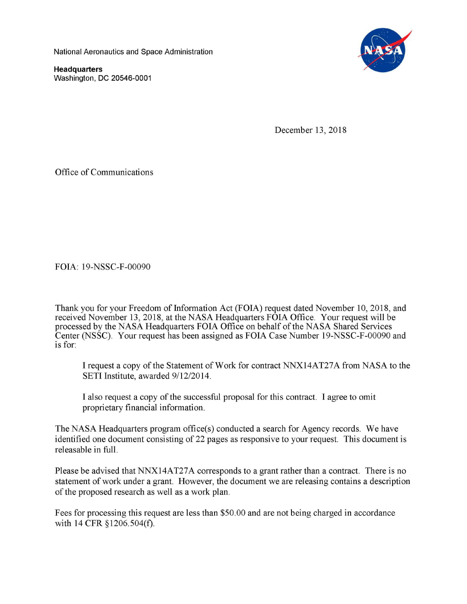National Aeronautics and Space Administration

**Headquarters**  Washington, DC 20546-0001



December 13, 2018

Office of Communications

FOIA: 19-NSSC-F-00090

Thank you for your Freedom of Information Act (FOIA) request dated November 10, 2018, and received November 13, 2018, at the NASA Headquarters FOIA Office. Your request will be processed by the NASA Headquarters FOIA Office on behalf of the NASA Shared Services Center (NSSC). Your request has been assigned as FOIA Case Number 19-NSSC-F-00090 and is for:

I request a copy of the Statement of Work for contract NNX14AT27A from NASA to the SETI Institute, awarded 9/12/2014.

I also request a copy of the successful proposal for this contract. I agree to omit proprietary financial information.

The NASA Headquarters program office(s) conducted a search for Agency records. We have identified one document consisting of 22 pages as responsive to your request. This document is releasable in full.

Please be advised that NNX14AT27A corresponds to a grant rather than a contract. There is no statement of work under a grant. However, the document we are releasing contains a description of the proposed research as well as a work plan.

Fees for processing this request are less than \$50.00 and are not being charged in accordance with 14 CFR §1206.504(f).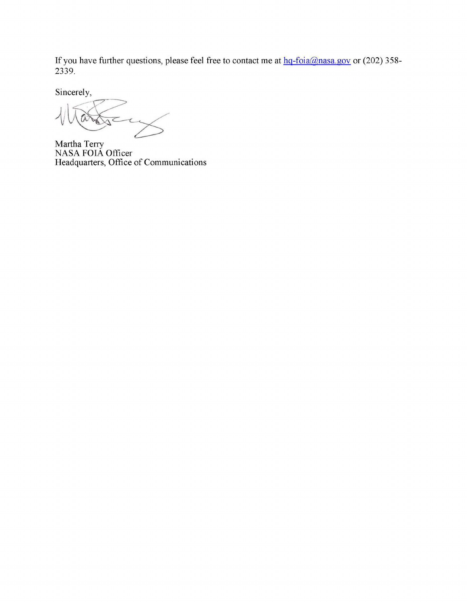If you have further questions, please feel free to contact me at  $hq$ -foia@nasa.gov or (202) 358-2339.

Sincerely,

 $\overline{\mathcal{C}}$  $\tau$ 

Martha Terry NASA FOIA Officer Headquarters, Office of Communications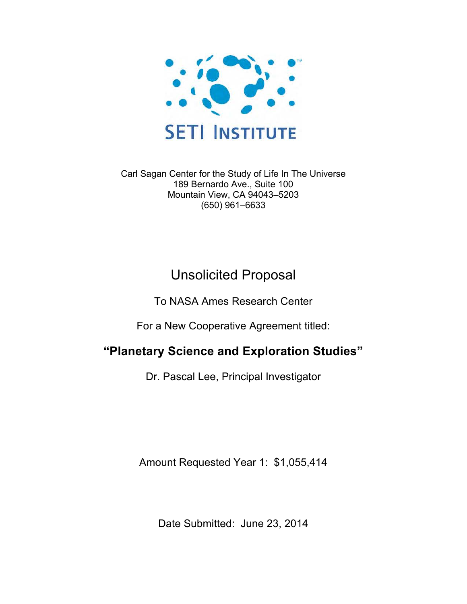

Carl Sagan Center for the Study of Life In The Universe 189 Bernardo Ave., Suite 100 Mountain View, CA 94043–5203 (650) 961–6633

# Unsolicited Proposal

To NASA Ames Research Center

For a New Cooperative Agreement titled:

# **"Planetary Science and Exploration Studies"**

Dr. Pascal Lee, Principal Investigator

Amount Requested Year 1: \$1,055,414

Date Submitted: June 23, 2014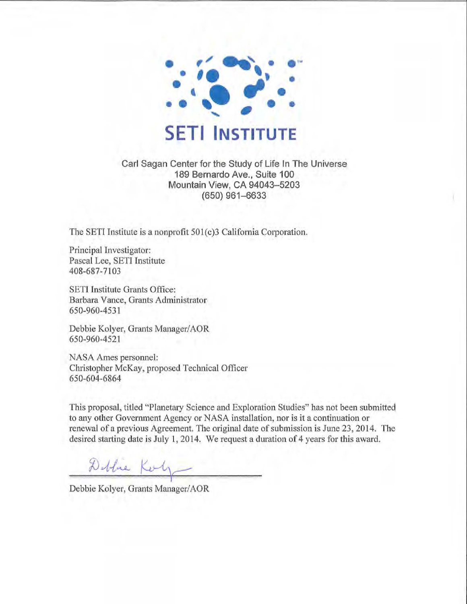

Carl Sagan Center for the Study of Life In The Universe 189 Bernardo Ave., Suite 100 Mountain View, CA 94043-5203 (650) 961-6633

The SETI Institute is a nonprofit 501(c)3 California Corporation.

Principal Investigator: Pascal Lee, SETI Institute 408-687-7103

SETI Institute Grants Office: Barbara Vance, Grants Administrator 650-960-4531

Debbie Kolyer, Grants Manager/AOR 650-960-4521

NASA Ames personnel: Christopher McKay, proposed Technical Officer 650-604-6864

This proposal, titled "Planetary Science and Exploration Studies" has not been submitted to any other Government Agency or NASA installation, nor is it a continuation or renewal of a previous Agreement. The original date of submission is June 23, 2014. The desired statting date is July 1, 2014. We request a duration of 4 years for this award.

Doblue Korty I

Debbie Kolyer, Grants Manager/AOR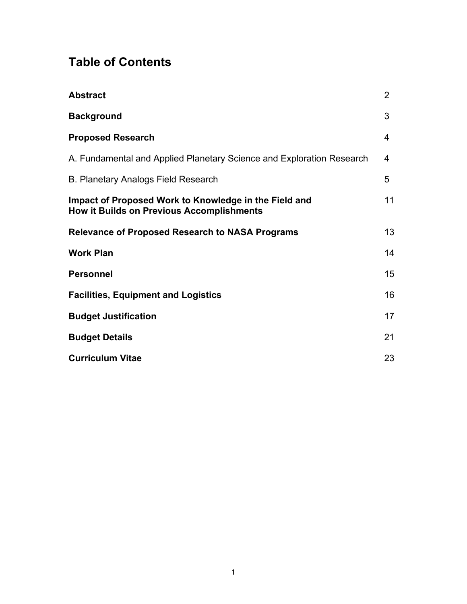# **Table of Contents**

| <b>Abstract</b>                                                                                           | $\overline{2}$ |
|-----------------------------------------------------------------------------------------------------------|----------------|
| <b>Background</b>                                                                                         | 3              |
| <b>Proposed Research</b>                                                                                  | 4              |
| A. Fundamental and Applied Planetary Science and Exploration Research                                     | 4              |
| <b>B. Planetary Analogs Field Research</b>                                                                | 5              |
| Impact of Proposed Work to Knowledge in the Field and<br><b>How it Builds on Previous Accomplishments</b> | 11             |
| <b>Relevance of Proposed Research to NASA Programs</b>                                                    | 13             |
| <b>Work Plan</b>                                                                                          | 14             |
| <b>Personnel</b>                                                                                          | 15             |
| <b>Facilities, Equipment and Logistics</b>                                                                | 16             |
| <b>Budget Justification</b>                                                                               | 17             |
| <b>Budget Details</b>                                                                                     | 21             |
| <b>Curriculum Vitae</b>                                                                                   | 23             |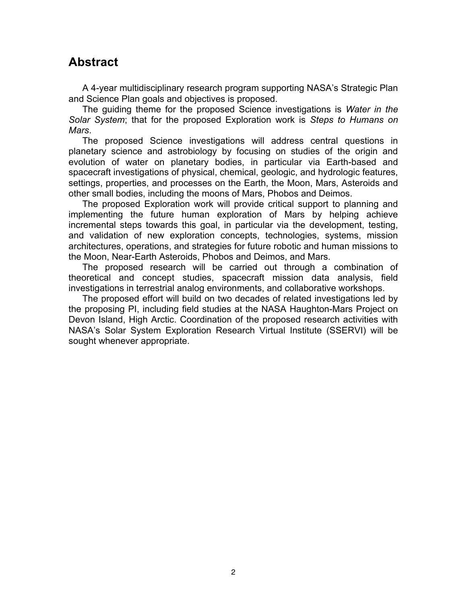### **Abstract**

A 4-year multidisciplinary research program supporting NASA's Strategic Plan and Science Plan goals and objectives is proposed.

The guiding theme for the proposed Science investigations is *Water in the Solar System*; that for the proposed Exploration work is *Steps to Humans on Mars*.

The proposed Science investigations will address central questions in planetary science and astrobiology by focusing on studies of the origin and evolution of water on planetary bodies, in particular via Earth-based and spacecraft investigations of physical, chemical, geologic, and hydrologic features, settings, properties, and processes on the Earth, the Moon, Mars, Asteroids and other small bodies, including the moons of Mars, Phobos and Deimos.

The proposed Exploration work will provide critical support to planning and implementing the future human exploration of Mars by helping achieve incremental steps towards this goal, in particular via the development, testing, and validation of new exploration concepts, technologies, systems, mission architectures, operations, and strategies for future robotic and human missions to the Moon, Near-Earth Asteroids, Phobos and Deimos, and Mars.

The proposed research will be carried out through a combination of theoretical and concept studies, spacecraft mission data analysis, field investigations in terrestrial analog environments, and collaborative workshops.

The proposed effort will build on two decades of related investigations led by the proposing PI, including field studies at the NASA Haughton-Mars Project on Devon Island, High Arctic. Coordination of the proposed research activities with NASA's Solar System Exploration Research Virtual Institute (SSERVI) will be sought whenever appropriate.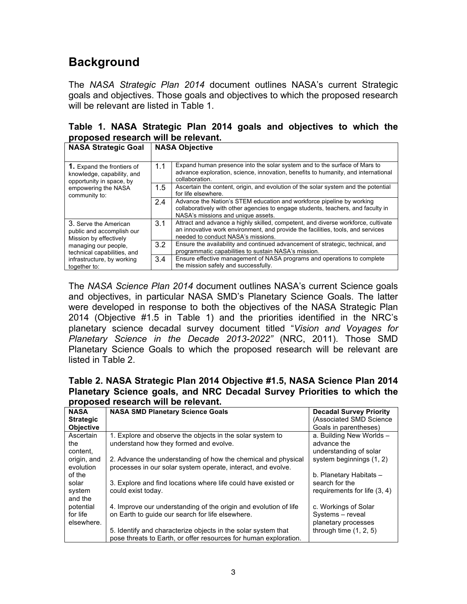# **Background**

The *NASA Strategic Plan 2014* document outlines NASA's current Strategic goals and objectives. Those goals and objectives to which the proposed research will be relevant are listed in Table 1.

|  |                                     |  |  | Table 1. NASA Strategic Plan 2014 goals and objectives to which the |  |  |
|--|-------------------------------------|--|--|---------------------------------------------------------------------|--|--|
|  | proposed research will be relevant. |  |  |                                                                     |  |  |

| <b>NASA Strategic Goal</b>                                                                  | <b>NASA Objective</b> |                                                                                                                                                                                                            |  |  |
|---------------------------------------------------------------------------------------------|-----------------------|------------------------------------------------------------------------------------------------------------------------------------------------------------------------------------------------------------|--|--|
| <b>1.</b> Expand the frontiers of<br>knowledge, capability, and<br>opportunity in space, by | 1.1                   | Expand human presence into the solar system and to the surface of Mars to<br>advance exploration, science, innovation, benefits to humanity, and international<br>collaboration.                           |  |  |
| empowering the NASA<br>community to:                                                        | 1.5                   | Ascertain the content, origin, and evolution of the solar system and the potential<br>for life elsewhere.                                                                                                  |  |  |
|                                                                                             | 2.4                   | Advance the Nation's STEM education and workforce pipeline by working<br>collaboratively with other agencies to engage students, teachers, and faculty in<br>NASA's missions and unique assets.            |  |  |
| 3. Serve the American<br>public and accomplish our<br>Mission by effectively                | 3.1                   | Attract and advance a highly skilled, competent, and diverse workforce, cultivate<br>an innovative work environment, and provide the facilities, tools, and services<br>needed to conduct NASA's missions. |  |  |
| managing our people.<br>technical capabilities, and                                         | 3.2                   | Ensure the availability and continued advancement of strategic, technical, and<br>programmatic capabilities to sustain NASA's mission.                                                                     |  |  |
| infrastructure, by working<br>together to:                                                  | 3.4                   | Ensure effective management of NASA programs and operations to complete<br>the mission safely and successfully.                                                                                            |  |  |

The *NASA Science Plan 2014* document outlines NASA's current Science goals and objectives, in particular NASA SMD's Planetary Science Goals. The latter were developed in response to both the objectives of the NASA Strategic Plan 2014 (Objective #1.5 in Table 1) and the priorities identified in the NRC's planetary science decadal survey document titled "*Vision and Voyages for Planetary Science in the Decade 2013-2022"* (NRC, 2011). Those SMD Planetary Science Goals to which the proposed research will be relevant are listed in Table 2.

**Table 2. NASA Strategic Plan 2014 Objective #1.5, NASA Science Plan 2014 Planetary Science goals, and NRC Decadal Survey Priorities to which the proposed research will be relevant.**

| <b>NASA</b><br><b>Strategic</b><br><b>Objective</b> | <b>NASA SMD Planetary Science Goals</b>                                                                                           | <b>Decadal Survey Priority</b><br>(Associated SMD Science<br>Goals in parentheses) |  |  |  |  |  |
|-----------------------------------------------------|-----------------------------------------------------------------------------------------------------------------------------------|------------------------------------------------------------------------------------|--|--|--|--|--|
| Ascertain<br>the<br>content,                        | 1. Explore and observe the objects in the solar system to<br>understand how they formed and evolve.                               | a. Building New Worlds -<br>advance the<br>understanding of solar                  |  |  |  |  |  |
| origin, and<br>evolution                            | 2. Advance the understanding of how the chemical and physical<br>processes in our solar system operate, interact, and evolve.     | system beginnings (1, 2)                                                           |  |  |  |  |  |
| of the<br>solar<br>system<br>and the                | 3. Explore and find locations where life could have existed or<br>could exist today.                                              | b. Planetary Habitats -<br>search for the<br>requirements for life $(3, 4)$        |  |  |  |  |  |
| potential<br>for life<br>elsewhere.                 | 4. Improve our understanding of the origin and evolution of life<br>on Earth to quide our search for life elsewhere.              | c. Workings of Solar<br>Systems - reveal<br>planetary processes                    |  |  |  |  |  |
|                                                     | 5. Identify and characterize objects in the solar system that<br>pose threats to Earth, or offer resources for human exploration. | through time $(1, 2, 5)$                                                           |  |  |  |  |  |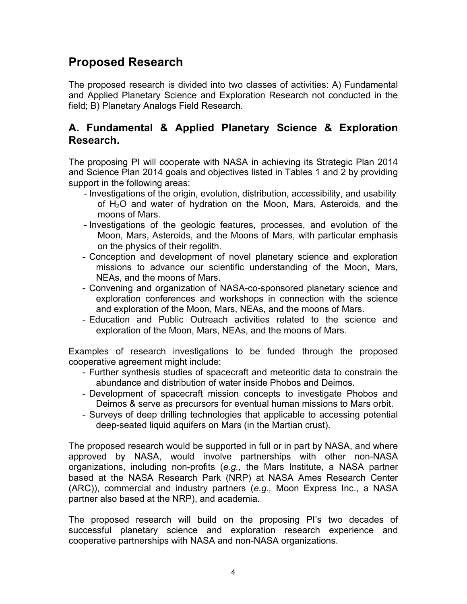### **Proposed Research**

The proposed research is divided into two classes of activities: A) Fundamental and Applied Planetary Science and Exploration Research not conducted in the field; B) Planetary Analogs Field Research.

### **A. Fundamental & Applied Planetary Science & Exploration Research.**

The proposing PI will cooperate with NASA in achieving its Strategic Plan 2014 and Science Plan 2014 goals and objectives listed in Tables 1 and 2 by providing support in the following areas:

- Investigations of the origin, evolution, distribution, accessibility, and usability of H2O and water of hydration on the Moon, Mars, Asteroids, and the moons of Mars.
- Investigations of the geologic features, processes, and evolution of the Moon, Mars, Asteroids, and the Moons of Mars, with particular emphasis on the physics of their regolith.
- Conception and development of novel planetary science and exploration missions to advance our scientific understanding of the Moon, Mars, NEAs, and the moons of Mars.
- Convening and organization of NASA-co-sponsored planetary science and exploration conferences and workshops in connection with the science and exploration of the Moon, Mars, NEAs, and the moons of Mars.
- Education and Public Outreach activities related to the science and exploration of the Moon, Mars, NEAs, and the moons of Mars.

Examples of research investigations to be funded through the proposed cooperative agreement might include:

- Further synthesis studies of spacecraft and meteoritic data to constrain the abundance and distribution of water inside Phobos and Deimos.
- Development of spacecraft mission concepts to investigate Phobos and Deimos & serve as precursors for eventual human missions to Mars orbit.
- Surveys of deep drilling technologies that applicable to accessing potential deep-seated liquid aquifers on Mars (in the Martian crust).

The proposed research would be supported in full or in part by NASA, and where approved by NASA, would involve partnerships with other non-NASA organizations, including non-profits (*e.g.,* the Mars Institute, a NASA partner based at the NASA Research Park (NRP) at NASA Ames Research Center (ARC)), commercial and industry partners (*e.g.,* Moon Express Inc., a NASA partner also based at the NRP), and academia.

The proposed research will build on the proposing PI's two decades of successful planetary science and exploration research experience and cooperative partnerships with NASA and non-NASA organizations.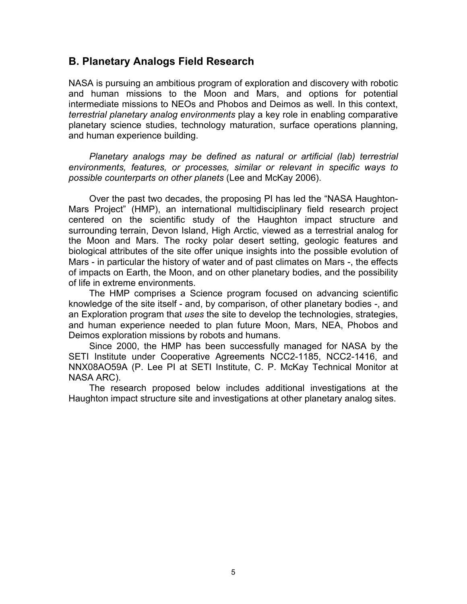### **B. Planetary Analogs Field Research**

NASA is pursuing an ambitious program of exploration and discovery with robotic and human missions to the Moon and Mars, and options for potential intermediate missions to NEOs and Phobos and Deimos as well. In this context, *terrestrial planetary analog environments* play a key role in enabling comparative planetary science studies, technology maturation, surface operations planning, and human experience building.

*Planetary analogs may be defined as natural or artificial (lab) terrestrial environments, features, or processes, similar or relevant in specific ways to possible counterparts on other planets* (Lee and McKay 2006).

Over the past two decades, the proposing PI has led the "NASA Haughton-Mars Project" (HMP), an international multidisciplinary field research project centered on the scientific study of the Haughton impact structure and surrounding terrain, Devon Island, High Arctic, viewed as a terrestrial analog for the Moon and Mars. The rocky polar desert setting, geologic features and biological attributes of the site offer unique insights into the possible evolution of Mars - in particular the history of water and of past climates on Mars -, the effects of impacts on Earth, the Moon, and on other planetary bodies, and the possibility of life in extreme environments.

The HMP comprises a Science program focused on advancing scientific knowledge of the site itself - and, by comparison, of other planetary bodies -, and an Exploration program that *uses* the site to develop the technologies, strategies, and human experience needed to plan future Moon, Mars, NEA, Phobos and Deimos exploration missions by robots and humans.

Since 2000, the HMP has been successfully managed for NASA by the SETI Institute under Cooperative Agreements NCC2-1185, NCC2-1416, and NNX08AO59A (P. Lee PI at SETI Institute, C. P. McKay Technical Monitor at NASA ARC).

The research proposed below includes additional investigations at the Haughton impact structure site and investigations at other planetary analog sites.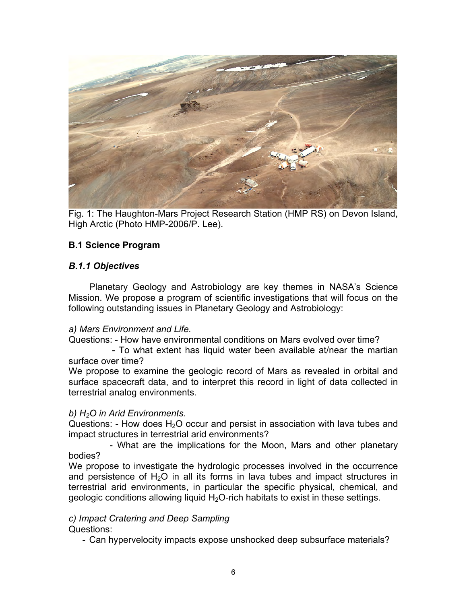

Fig. 1: The Haughton-Mars Project Research Station (HMP RS) on Devon Island, High Arctic (Photo HMP-2006/P. Lee).

#### **B.1 Science Program**

#### *B.1.1 Objectives*

Planetary Geology and Astrobiology are key themes in NASA's Science Mission. We propose a program of scientific investigations that will focus on the following outstanding issues in Planetary Geology and Astrobiology:

#### *a) Mars Environment and Life.*

Questions: - How have environmental conditions on Mars evolved over time?

 - To what extent has liquid water been available at/near the martian surface over time?

We propose to examine the geologic record of Mars as revealed in orbital and surface spacecraft data, and to interpret this record in light of data collected in terrestrial analog environments.

#### *b) H2O in Arid Environments.*

Questions: - How does  $H_2O$  occur and persist in association with lava tubes and impact structures in terrestrial arid environments?

- What are the implications for the Moon, Mars and other planetary bodies?

We propose to investigate the hydrologic processes involved in the occurrence and persistence of  $H_2O$  in all its forms in lava tubes and impact structures in terrestrial arid environments, in particular the specific physical, chemical, and geologic conditions allowing liquid  $H_2O$ -rich habitats to exist in these settings.

#### *c) Impact Cratering and Deep Sampling* Questions:

- Can hypervelocity impacts expose unshocked deep subsurface materials?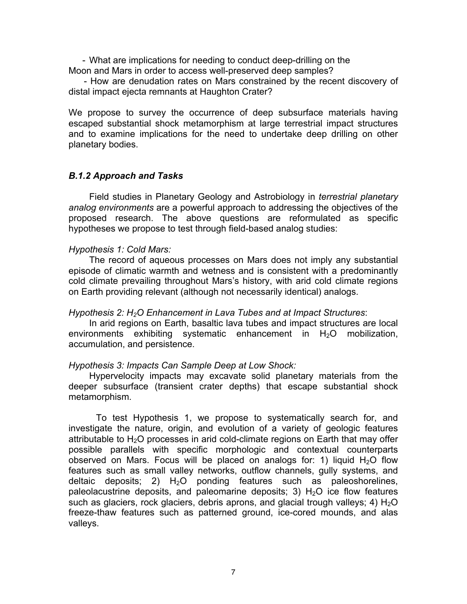- What are implications for needing to conduct deep-drilling on the Moon and Mars in order to access well-preserved deep samples?

 - How are denudation rates on Mars constrained by the recent discovery of distal impact ejecta remnants at Haughton Crater?

We propose to survey the occurrence of deep subsurface materials having escaped substantial shock metamorphism at large terrestrial impact structures and to examine implications for the need to undertake deep drilling on other planetary bodies.

#### *B.1.2 Approach and Tasks*

Field studies in Planetary Geology and Astrobiology in *terrestrial planetary analog environments* are a powerful approach to addressing the objectives of the proposed research. The above questions are reformulated as specific hypotheses we propose to test through field-based analog studies:

#### *Hypothesis 1: Cold Mars:*

The record of aqueous processes on Mars does not imply any substantial episode of climatic warmth and wetness and is consistent with a predominantly cold climate prevailing throughout Mars's history, with arid cold climate regions on Earth providing relevant (although not necessarily identical) analogs.

#### *Hypothesis 2: H2O Enhancement in Lava Tubes and at Impact Structures*:

In arid regions on Earth, basaltic lava tubes and impact structures are local environments exhibiting systematic enhancement in  $H_2O$  mobilization, accumulation, and persistence.

#### *Hypothesis 3: Impacts Can Sample Deep at Low Shock:*

Hypervelocity impacts may excavate solid planetary materials from the deeper subsurface (transient crater depths) that escape substantial shock metamorphism.

To test Hypothesis 1, we propose to systematically search for, and investigate the nature, origin, and evolution of a variety of geologic features attributable to  $H<sub>2</sub>O$  processes in arid cold-climate regions on Earth that may offer possible parallels with specific morphologic and contextual counterparts observed on Mars. Focus will be placed on analogs for: 1) liquid  $H_2O$  flow features such as small valley networks, outflow channels, gully systems, and deltaic deposits; 2)  $H_2O$  ponding features such as paleoshorelines, paleolacustrine deposits, and paleomarine deposits; 3)  $H<sub>2</sub>O$  ice flow features such as glaciers, rock glaciers, debris aprons, and glacial trough valleys; 4)  $H_2O$ freeze-thaw features such as patterned ground, ice-cored mounds, and alas valleys.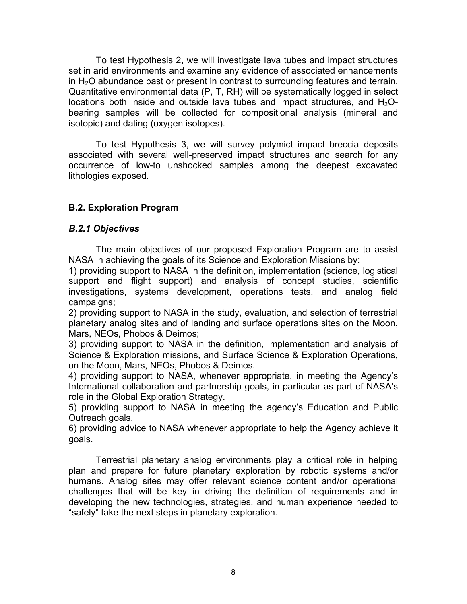To test Hypothesis 2, we will investigate lava tubes and impact structures set in arid environments and examine any evidence of associated enhancements in  $H<sub>2</sub>O$  abundance past or present in contrast to surrounding features and terrain. Quantitative environmental data (P, T, RH) will be systematically logged in select locations both inside and outside lava tubes and impact structures, and  $H_2O$ bearing samples will be collected for compositional analysis (mineral and isotopic) and dating (oxygen isotopes).

To test Hypothesis 3, we will survey polymict impact breccia deposits associated with several well-preserved impact structures and search for any occurrence of low-to unshocked samples among the deepest excavated lithologies exposed.

#### **B.2. Exploration Program**

#### *B.2.1 Objectives*

The main objectives of our proposed Exploration Program are to assist NASA in achieving the goals of its Science and Exploration Missions by:

1) providing support to NASA in the definition, implementation (science, logistical support and flight support) and analysis of concept studies, scientific investigations, systems development, operations tests, and analog field campaigns;

2) providing support to NASA in the study, evaluation, and selection of terrestrial planetary analog sites and of landing and surface operations sites on the Moon, Mars, NEOs, Phobos & Deimos;

3) providing support to NASA in the definition, implementation and analysis of Science & Exploration missions, and Surface Science & Exploration Operations, on the Moon, Mars, NEOs, Phobos & Deimos.

4) providing support to NASA, whenever appropriate, in meeting the Agency's International collaboration and partnership goals, in particular as part of NASA's role in the Global Exploration Strategy.

5) providing support to NASA in meeting the agency's Education and Public Outreach goals.

6) providing advice to NASA whenever appropriate to help the Agency achieve it goals.

Terrestrial planetary analog environments play a critical role in helping plan and prepare for future planetary exploration by robotic systems and/or humans. Analog sites may offer relevant science content and/or operational challenges that will be key in driving the definition of requirements and in developing the new technologies, strategies, and human experience needed to "safely" take the next steps in planetary exploration.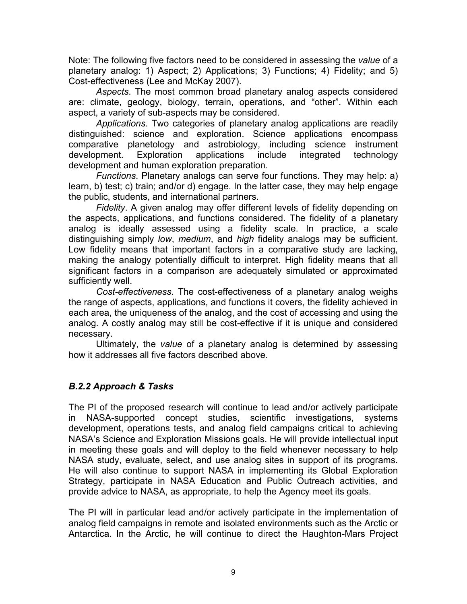Note: The following five factors need to be considered in assessing the *value* of a planetary analog: 1) Aspect; 2) Applications; 3) Functions; 4) Fidelity; and 5) Cost-effectiveness (Lee and McKay 2007).

*Aspects*. The most common broad planetary analog aspects considered are: climate, geology, biology, terrain, operations, and "other". Within each aspect, a variety of sub-aspects may be considered.

*Applications*. Two categories of planetary analog applications are readily distinguished: science and exploration. Science applications encompass comparative planetology and astrobiology, including science instrument development. Exploration applications include integrated technology development and human exploration preparation.

*Functions*. Planetary analogs can serve four functions. They may help: a) learn, b) test; c) train; and/or d) engage. In the latter case, they may help engage the public, students, and international partners.

*Fidelity*. A given analog may offer different levels of fidelity depending on the aspects, applications, and functions considered. The fidelity of a planetary analog is ideally assessed using a fidelity scale. In practice, a scale distinguishing simply *low*, *medium*, and *high* fidelity analogs may be sufficient. Low fidelity means that important factors in a comparative study are lacking, making the analogy potentially difficult to interpret. High fidelity means that all significant factors in a comparison are adequately simulated or approximated sufficiently well.

*Cost-effectiveness*. The cost-effectiveness of a planetary analog weighs the range of aspects, applications, and functions it covers, the fidelity achieved in each area, the uniqueness of the analog, and the cost of accessing and using the analog. A costly analog may still be cost-effective if it is unique and considered necessary.

Ultimately, the *value* of a planetary analog is determined by assessing how it addresses all five factors described above.

#### *B.2.2 Approach & Tasks*

The PI of the proposed research will continue to lead and/or actively participate in NASA-supported concept studies, scientific investigations, systems development, operations tests, and analog field campaigns critical to achieving NASA's Science and Exploration Missions goals. He will provide intellectual input in meeting these goals and will deploy to the field whenever necessary to help NASA study, evaluate, select, and use analog sites in support of its programs. He will also continue to support NASA in implementing its Global Exploration Strategy, participate in NASA Education and Public Outreach activities, and provide advice to NASA, as appropriate, to help the Agency meet its goals.

The PI will in particular lead and/or actively participate in the implementation of analog field campaigns in remote and isolated environments such as the Arctic or Antarctica. In the Arctic, he will continue to direct the Haughton-Mars Project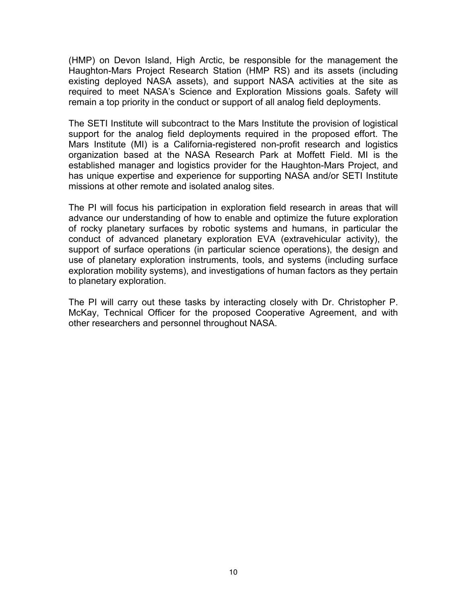(HMP) on Devon Island, High Arctic, be responsible for the management the Haughton-Mars Project Research Station (HMP RS) and its assets (including existing deployed NASA assets), and support NASA activities at the site as required to meet NASA's Science and Exploration Missions goals. Safety will remain a top priority in the conduct or support of all analog field deployments.

The SETI Institute will subcontract to the Mars Institute the provision of logistical support for the analog field deployments required in the proposed effort. The Mars Institute (MI) is a California-registered non-profit research and logistics organization based at the NASA Research Park at Moffett Field. MI is the established manager and logistics provider for the Haughton-Mars Project, and has unique expertise and experience for supporting NASA and/or SETI Institute missions at other remote and isolated analog sites.

The PI will focus his participation in exploration field research in areas that will advance our understanding of how to enable and optimize the future exploration of rocky planetary surfaces by robotic systems and humans, in particular the conduct of advanced planetary exploration EVA (extravehicular activity), the support of surface operations (in particular science operations), the design and use of planetary exploration instruments, tools, and systems (including surface exploration mobility systems), and investigations of human factors as they pertain to planetary exploration.

The PI will carry out these tasks by interacting closely with Dr. Christopher P. McKay, Technical Officer for the proposed Cooperative Agreement, and with other researchers and personnel throughout NASA.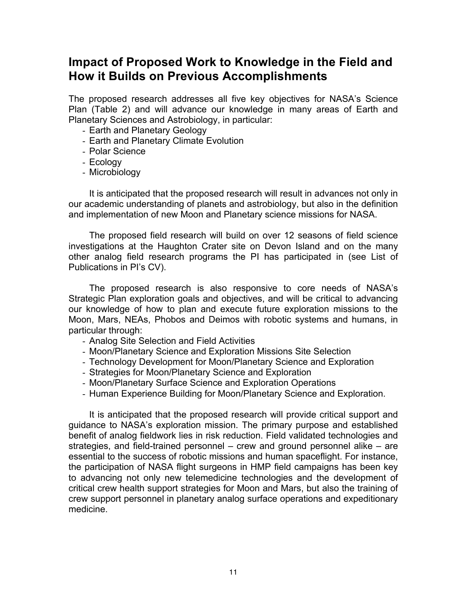### **Impact of Proposed Work to Knowledge in the Field and How it Builds on Previous Accomplishments**

The proposed research addresses all five key objectives for NASA's Science Plan (Table 2) and will advance our knowledge in many areas of Earth and Planetary Sciences and Astrobiology, in particular:

- Earth and Planetary Geology
- Earth and Planetary Climate Evolution
- Polar Science
- Ecology
- Microbiology

It is anticipated that the proposed research will result in advances not only in our academic understanding of planets and astrobiology, but also in the definition and implementation of new Moon and Planetary science missions for NASA.

The proposed field research will build on over 12 seasons of field science investigations at the Haughton Crater site on Devon Island and on the many other analog field research programs the PI has participated in (see List of Publications in PI's CV).

The proposed research is also responsive to core needs of NASA's Strategic Plan exploration goals and objectives, and will be critical to advancing our knowledge of how to plan and execute future exploration missions to the Moon, Mars, NEAs, Phobos and Deimos with robotic systems and humans, in particular through:

- Analog Site Selection and Field Activities
- Moon/Planetary Science and Exploration Missions Site Selection
- Technology Development for Moon/Planetary Science and Exploration
- Strategies for Moon/Planetary Science and Exploration
- Moon/Planetary Surface Science and Exploration Operations
- Human Experience Building for Moon/Planetary Science and Exploration.

It is anticipated that the proposed research will provide critical support and guidance to NASA's exploration mission. The primary purpose and established benefit of analog fieldwork lies in risk reduction. Field validated technologies and strategies, and field-trained personnel – crew and ground personnel alike – are essential to the success of robotic missions and human spaceflight. For instance, the participation of NASA flight surgeons in HMP field campaigns has been key to advancing not only new telemedicine technologies and the development of critical crew health support strategies for Moon and Mars, but also the training of crew support personnel in planetary analog surface operations and expeditionary medicine.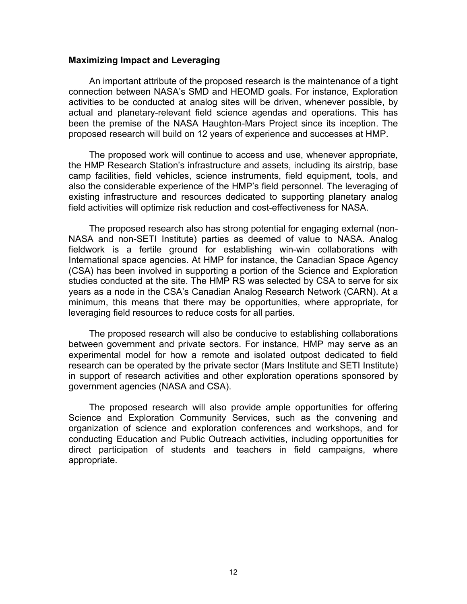#### **Maximizing Impact and Leveraging**

An important attribute of the proposed research is the maintenance of a tight connection between NASA's SMD and HEOMD goals. For instance, Exploration activities to be conducted at analog sites will be driven, whenever possible, by actual and planetary-relevant field science agendas and operations. This has been the premise of the NASA Haughton-Mars Project since its inception. The proposed research will build on 12 years of experience and successes at HMP.

The proposed work will continue to access and use, whenever appropriate, the HMP Research Station's infrastructure and assets, including its airstrip, base camp facilities, field vehicles, science instruments, field equipment, tools, and also the considerable experience of the HMP's field personnel. The leveraging of existing infrastructure and resources dedicated to supporting planetary analog field activities will optimize risk reduction and cost-effectiveness for NASA.

The proposed research also has strong potential for engaging external (non-NASA and non-SETI Institute) parties as deemed of value to NASA. Analog fieldwork is a fertile ground for establishing win-win collaborations with International space agencies. At HMP for instance, the Canadian Space Agency (CSA) has been involved in supporting a portion of the Science and Exploration studies conducted at the site. The HMP RS was selected by CSA to serve for six years as a node in the CSA's Canadian Analog Research Network (CARN). At a minimum, this means that there may be opportunities, where appropriate, for leveraging field resources to reduce costs for all parties.

The proposed research will also be conducive to establishing collaborations between government and private sectors. For instance, HMP may serve as an experimental model for how a remote and isolated outpost dedicated to field research can be operated by the private sector (Mars Institute and SETI Institute) in support of research activities and other exploration operations sponsored by government agencies (NASA and CSA).

The proposed research will also provide ample opportunities for offering Science and Exploration Community Services, such as the convening and organization of science and exploration conferences and workshops, and for conducting Education and Public Outreach activities, including opportunities for direct participation of students and teachers in field campaigns, where appropriate.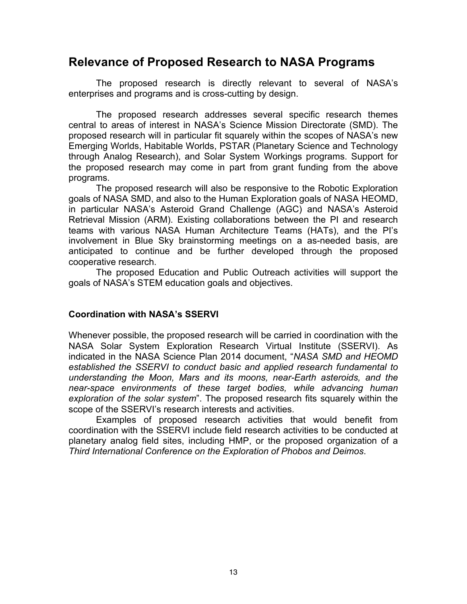### **Relevance of Proposed Research to NASA Programs**

The proposed research is directly relevant to several of NASA's enterprises and programs and is cross-cutting by design.

The proposed research addresses several specific research themes central to areas of interest in NASA's Science Mission Directorate (SMD). The proposed research will in particular fit squarely within the scopes of NASA's new Emerging Worlds, Habitable Worlds, PSTAR (Planetary Science and Technology through Analog Research), and Solar System Workings programs. Support for the proposed research may come in part from grant funding from the above programs.

The proposed research will also be responsive to the Robotic Exploration goals of NASA SMD, and also to the Human Exploration goals of NASA HEOMD, in particular NASA's Asteroid Grand Challenge (AGC) and NASA's Asteroid Retrieval Mission (ARM). Existing collaborations between the PI and research teams with various NASA Human Architecture Teams (HATs), and the PI's involvement in Blue Sky brainstorming meetings on a as-needed basis, are anticipated to continue and be further developed through the proposed cooperative research.

The proposed Education and Public Outreach activities will support the goals of NASA's STEM education goals and objectives.

#### **Coordination with NASA's SSERVI**

Whenever possible, the proposed research will be carried in coordination with the NASA Solar System Exploration Research Virtual Institute (SSERVI). As indicated in the NASA Science Plan 2014 document, "*NASA SMD and HEOMD established the SSERVI to conduct basic and applied research fundamental to understanding the Moon, Mars and its moons, near-Earth asteroids, and the near-space environments of these target bodies, while advancing human exploration of the solar system*". The proposed research fits squarely within the scope of the SSERVI's research interests and activities.

Examples of proposed research activities that would benefit from coordination with the SSERVI include field research activities to be conducted at planetary analog field sites, including HMP, or the proposed organization of a *Third International Conference on the Exploration of Phobos and Deimos*.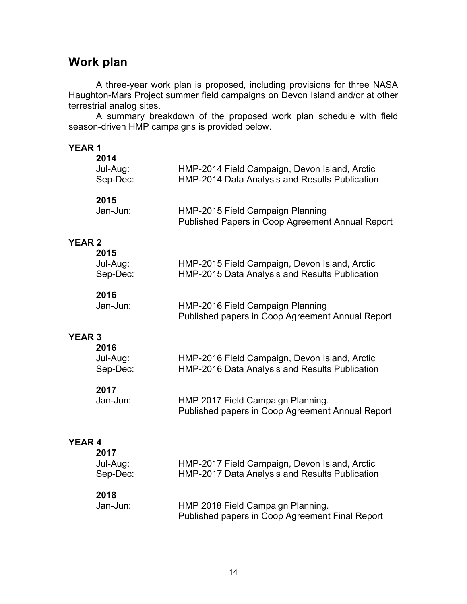### **Work plan**

A three-year work plan is proposed, including provisions for three NASA Haughton-Mars Project summer field campaigns on Devon Island and/or at other terrestrial analog sites.

A summary breakdown of the proposed work plan schedule with field season-driven HMP campaigns is provided below.

| <b>YEAR1</b>  | 2014<br>Jul-Aug:<br>Sep-Dec: | HMP-2014 Field Campaign, Devon Island, Arctic<br>HMP-2014 Data Analysis and Results Publication |
|---------------|------------------------------|-------------------------------------------------------------------------------------------------|
|               | 2015<br>Jan-Jun:             | HMP-2015 Field Campaign Planning<br>Published Papers in Coop Agreement Annual Report            |
| <b>YEAR 2</b> | 2015<br>Jul-Aug:<br>Sep-Dec: | HMP-2015 Field Campaign, Devon Island, Arctic<br>HMP-2015 Data Analysis and Results Publication |
|               | 2016<br>Jan-Jun:             | HMP-2016 Field Campaign Planning<br>Published papers in Coop Agreement Annual Report            |
| <b>YEAR 3</b> | 2016<br>Jul-Aug:<br>Sep-Dec: | HMP-2016 Field Campaign, Devon Island, Arctic<br>HMP-2016 Data Analysis and Results Publication |
|               | 2017<br>Jan-Jun:             | HMP 2017 Field Campaign Planning.<br>Published papers in Coop Agreement Annual Report           |
| <b>YEAR 4</b> | 2017<br>Jul-Aug:<br>Sep-Dec: | HMP-2017 Field Campaign, Devon Island, Arctic<br>HMP-2017 Data Analysis and Results Publication |
|               | 2018<br>Jan-Jun:             | HMP 2018 Field Campaign Planning.<br>Published papers in Coop Agreement Final Report            |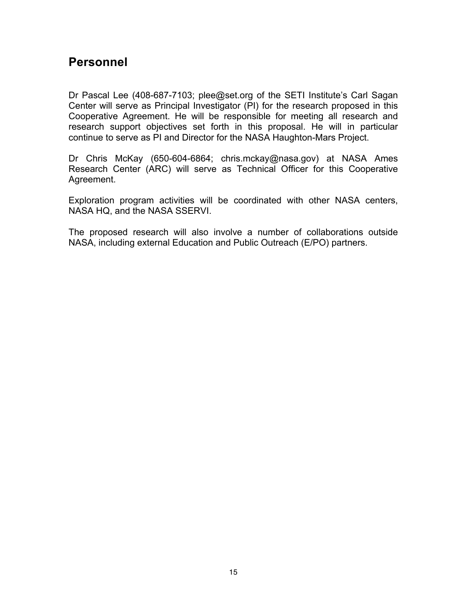### **Personnel**

Dr Pascal Lee (408-687-7103; plee@set.org of the SETI Institute's Carl Sagan Center will serve as Principal Investigator (PI) for the research proposed in this Cooperative Agreement. He will be responsible for meeting all research and research support objectives set forth in this proposal. He will in particular continue to serve as PI and Director for the NASA Haughton-Mars Project.

Dr Chris McKay (650-604-6864; chris.mckay@nasa.gov) at NASA Ames Research Center (ARC) will serve as Technical Officer for this Cooperative Agreement.

Exploration program activities will be coordinated with other NASA centers, NASA HQ, and the NASA SSERVI.

The proposed research will also involve a number of collaborations outside NASA, including external Education and Public Outreach (E/PO) partners.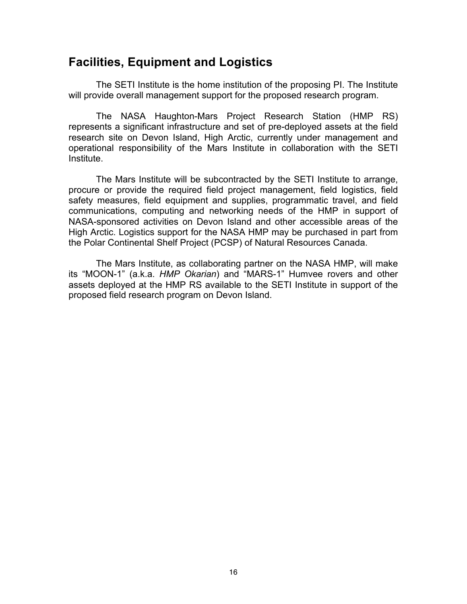### **Facilities, Equipment and Logistics**

The SETI Institute is the home institution of the proposing PI. The Institute will provide overall management support for the proposed research program.

The NASA Haughton-Mars Project Research Station (HMP RS) represents a significant infrastructure and set of pre-deployed assets at the field research site on Devon Island, High Arctic, currently under management and operational responsibility of the Mars Institute in collaboration with the SETI Institute.

The Mars Institute will be subcontracted by the SETI Institute to arrange, procure or provide the required field project management, field logistics, field safety measures, field equipment and supplies, programmatic travel, and field communications, computing and networking needs of the HMP in support of NASA-sponsored activities on Devon Island and other accessible areas of the High Arctic. Logistics support for the NASA HMP may be purchased in part from the Polar Continental Shelf Project (PCSP) of Natural Resources Canada.

The Mars Institute, as collaborating partner on the NASA HMP, will make its "MOON-1" (a.k.a. *HMP Okarian*) and "MARS-1" Humvee rovers and other assets deployed at the HMP RS available to the SETI Institute in support of the proposed field research program on Devon Island.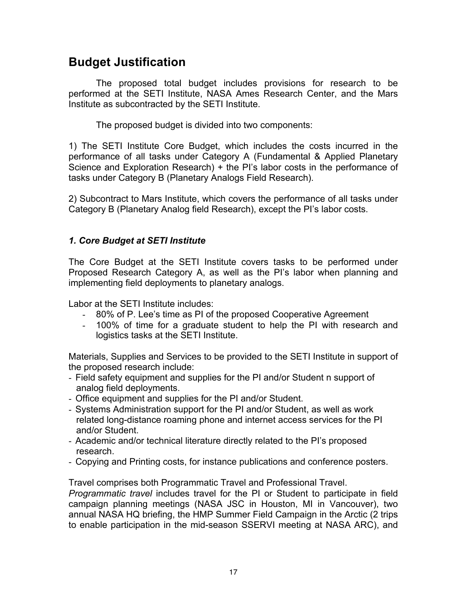### **Budget Justification**

The proposed total budget includes provisions for research to be performed at the SETI Institute, NASA Ames Research Center, and the Mars Institute as subcontracted by the SETI Institute.

The proposed budget is divided into two components:

1) The SETI Institute Core Budget, which includes the costs incurred in the performance of all tasks under Category A (Fundamental & Applied Planetary Science and Exploration Research) + the PI's labor costs in the performance of tasks under Category B (Planetary Analogs Field Research).

2) Subcontract to Mars Institute, which covers the performance of all tasks under Category B (Planetary Analog field Research), except the PI's labor costs.

#### *1. Core Budget at SETI Institute*

The Core Budget at the SETI Institute covers tasks to be performed under Proposed Research Category A, as well as the PI's labor when planning and implementing field deployments to planetary analogs.

Labor at the SETI Institute includes:

- 80% of P. Lee's time as PI of the proposed Cooperative Agreement
- 100% of time for a graduate student to help the PI with research and logistics tasks at the SETI Institute.

Materials, Supplies and Services to be provided to the SETI Institute in support of the proposed research include:

- Field safety equipment and supplies for the PI and/or Student n support of analog field deployments.
- Office equipment and supplies for the PI and/or Student.
- Systems Administration support for the PI and/or Student, as well as work related long-distance roaming phone and internet access services for the PI and/or Student.
- Academic and/or technical literature directly related to the PI's proposed research.
- Copying and Printing costs, for instance publications and conference posters.

Travel comprises both Programmatic Travel and Professional Travel.

*Programmatic travel* includes travel for the PI or Student to participate in field campaign planning meetings (NASA JSC in Houston, MI in Vancouver), two annual NASA HQ briefing, the HMP Summer Field Campaign in the Arctic (2 trips to enable participation in the mid-season SSERVI meeting at NASA ARC), and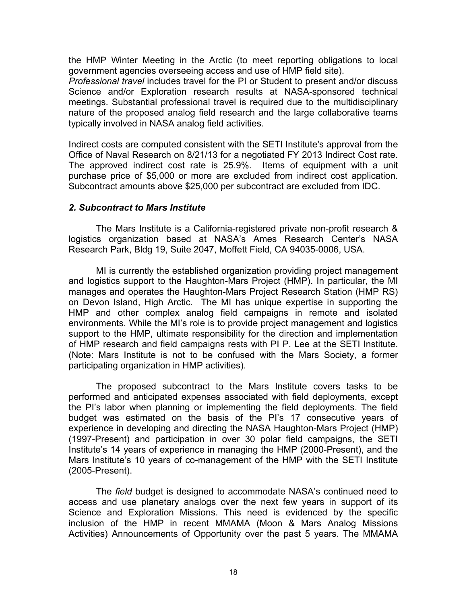the HMP Winter Meeting in the Arctic (to meet reporting obligations to local government agencies overseeing access and use of HMP field site).

*Professional travel* includes travel for the PI or Student to present and/or discuss Science and/or Exploration research results at NASA-sponsored technical meetings. Substantial professional travel is required due to the multidisciplinary nature of the proposed analog field research and the large collaborative teams typically involved in NASA analog field activities.

Indirect costs are computed consistent with the SETI Institute's approval from the Office of Naval Research on 8/21/13 for a negotiated FY 2013 Indirect Cost rate. The approved indirect cost rate is 25.9%. Items of equipment with a unit purchase price of \$5,000 or more are excluded from indirect cost application. Subcontract amounts above \$25,000 per subcontract are excluded from IDC.

#### *2. Subcontract to Mars Institute*

The Mars Institute is a California-registered private non-profit research & logistics organization based at NASA's Ames Research Center's NASA Research Park, Bldg 19, Suite 2047, Moffett Field, CA 94035-0006, USA.

MI is currently the established organization providing project management and logistics support to the Haughton-Mars Project (HMP). In particular, the MI manages and operates the Haughton-Mars Project Research Station (HMP RS) on Devon Island, High Arctic. The MI has unique expertise in supporting the HMP and other complex analog field campaigns in remote and isolated environments. While the MI's role is to provide project management and logistics support to the HMP, ultimate responsibility for the direction and implementation of HMP research and field campaigns rests with PI P. Lee at the SETI Institute. (Note: Mars Institute is not to be confused with the Mars Society, a former participating organization in HMP activities).

The proposed subcontract to the Mars Institute covers tasks to be performed and anticipated expenses associated with field deployments, except the PI's labor when planning or implementing the field deployments. The field budget was estimated on the basis of the PI's 17 consecutive years of experience in developing and directing the NASA Haughton-Mars Project (HMP) (1997-Present) and participation in over 30 polar field campaigns, the SETI Institute's 14 years of experience in managing the HMP (2000-Present), and the Mars Institute's 10 years of co-management of the HMP with the SETI Institute (2005-Present).

The *field* budget is designed to accommodate NASA's continued need to access and use planetary analogs over the next few years in support of its Science and Exploration Missions. This need is evidenced by the specific inclusion of the HMP in recent MMAMA (Moon & Mars Analog Missions Activities) Announcements of Opportunity over the past 5 years. The MMAMA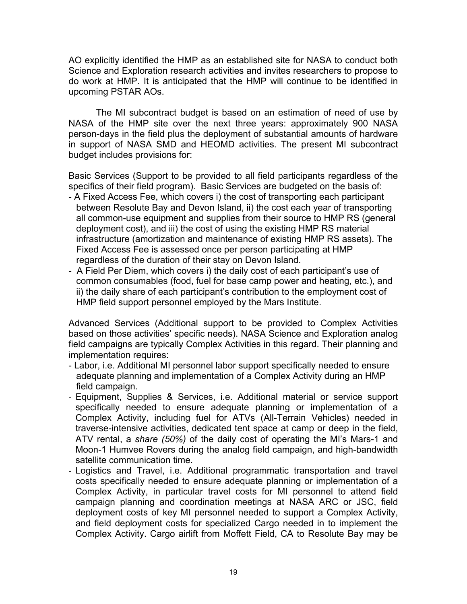AO explicitly identified the HMP as an established site for NASA to conduct both Science and Exploration research activities and invites researchers to propose to do work at HMP. It is anticipated that the HMP will continue to be identified in upcoming PSTAR AOs.

The MI subcontract budget is based on an estimation of need of use by NASA of the HMP site over the next three years: approximately 900 NASA person-days in the field plus the deployment of substantial amounts of hardware in support of NASA SMD and HEOMD activities. The present MI subcontract budget includes provisions for:

Basic Services (Support to be provided to all field participants regardless of the specifics of their field program). Basic Services are budgeted on the basis of:

- A Fixed Access Fee, which covers i) the cost of transporting each participant between Resolute Bay and Devon Island, ii) the cost each year of transporting all common-use equipment and supplies from their source to HMP RS (general deployment cost), and iii) the cost of using the existing HMP RS material infrastructure (amortization and maintenance of existing HMP RS assets). The Fixed Access Fee is assessed once per person participating at HMP regardless of the duration of their stay on Devon Island.
- A Field Per Diem, which covers i) the daily cost of each participant's use of common consumables (food, fuel for base camp power and heating, etc.), and ii) the daily share of each participant's contribution to the employment cost of HMP field support personnel employed by the Mars Institute.

Advanced Services (Additional support to be provided to Complex Activities based on those activities' specific needs). NASA Science and Exploration analog field campaigns are typically Complex Activities in this regard. Their planning and implementation requires:

- Labor, i.e. Additional MI personnel labor support specifically needed to ensure adequate planning and implementation of a Complex Activity during an HMP field campaign.
- Equipment, Supplies & Services, i.e. Additional material or service support specifically needed to ensure adequate planning or implementation of a Complex Activity, including fuel for ATVs (All-Terrain Vehicles) needed in traverse-intensive activities, dedicated tent space at camp or deep in the field, ATV rental, a *share (50%)* of the daily cost of operating the MI's Mars-1 and Moon-1 Humvee Rovers during the analog field campaign, and high-bandwidth satellite communication time.
- Logistics and Travel, i.e. Additional programmatic transportation and travel costs specifically needed to ensure adequate planning or implementation of a Complex Activity, in particular travel costs for MI personnel to attend field campaign planning and coordination meetings at NASA ARC or JSC, field deployment costs of key MI personnel needed to support a Complex Activity, and field deployment costs for specialized Cargo needed in to implement the Complex Activity. Cargo airlift from Moffett Field, CA to Resolute Bay may be